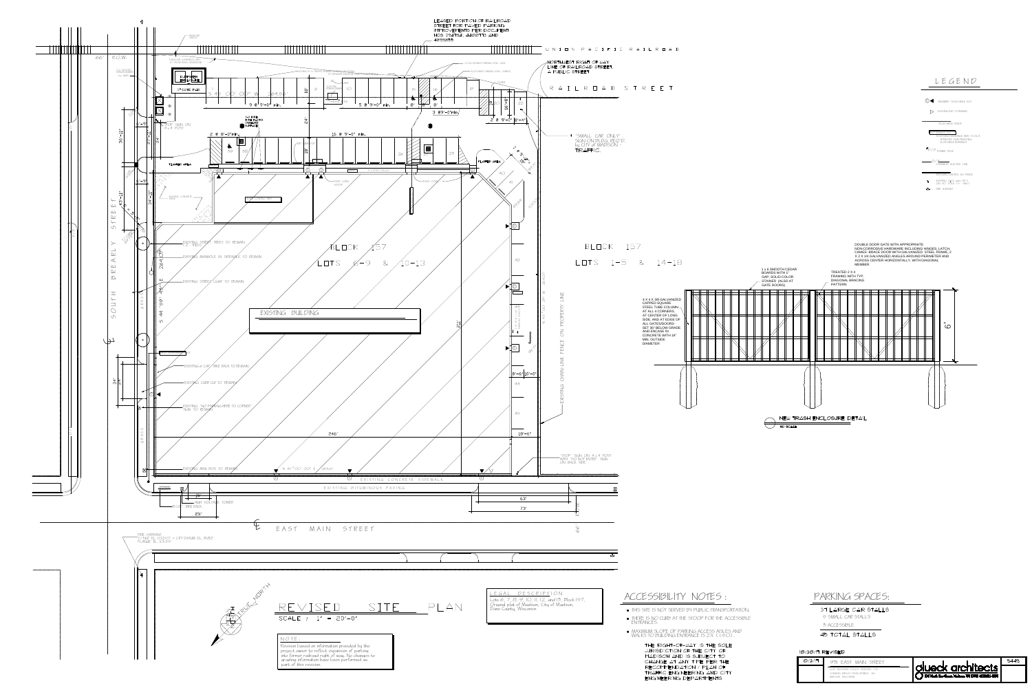

- 
- 

| 102/3/17 | EAST MAIN STREET                                                                                |                                                                                  | 944 |
|----------|-------------------------------------------------------------------------------------------------|----------------------------------------------------------------------------------|-----|
|          | LIGHT INDLISTRIAL FACILITY REMODEL FOR:<br>COMMON WEALTH DEVELOPMENT, INC<br>MADISON, WISCONSIN | <b>leck architects.</b><br>116 North Few Street, Madison, WI 53703 (608)251-2551 |     |